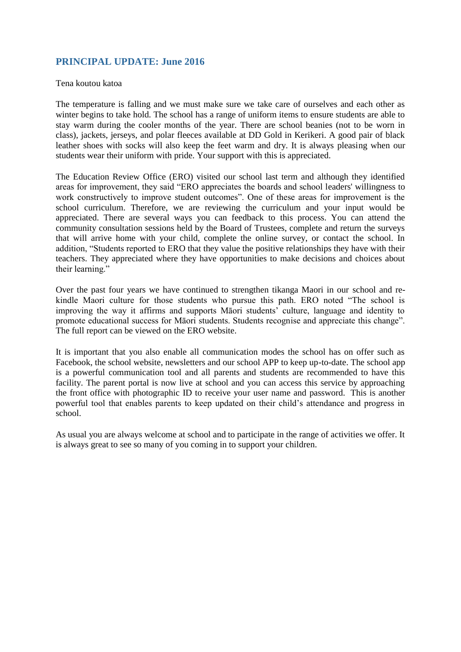# **PRINCIPAL UPDATE: June 2016**

### Tena koutou katoa

The temperature is falling and we must make sure we take care of ourselves and each other as winter begins to take hold. The school has a range of uniform items to ensure students are able to stay warm during the cooler months of the year. There are school beanies (not to be worn in class), jackets, jerseys, and polar fleeces available at DD Gold in Kerikeri. A good pair of black leather shoes with socks will also keep the feet warm and dry. It is always pleasing when our students wear their uniform with pride. Your support with this is appreciated.

The Education Review Office (ERO) visited our school last term and although they identified areas for improvement, they said "ERO appreciates the boards and school leaders' willingness to work constructively to improve student outcomes". One of these areas for improvement is the school curriculum. Therefore, we are reviewing the curriculum and your input would be appreciated. There are several ways you can feedback to this process. You can attend the community consultation sessions held by the Board of Trustees, complete and return the surveys that will arrive home with your child, complete the online survey, or contact the school. In addition, "Students reported to ERO that they value the positive relationships they have with their teachers. They appreciated where they have opportunities to make decisions and choices about their learning."

Over the past four years we have continued to strengthen tikanga Maori in our school and rekindle Maori culture for those students who pursue this path. ERO noted "The school is improving the way it affirms and supports Māori students' culture, language and identity to promote educational success for Māori students. Students recognise and appreciate this change". The full report can be viewed on the ERO website.

It is important that you also enable all communication modes the school has on offer such as Facebook, the school website, newsletters and our school APP to keep up-to-date. The school app is a powerful communication tool and all parents and students are recommended to have this facility. The parent portal is now live at school and you can access this service by approaching the front office with photographic ID to receive your user name and password. This is another powerful tool that enables parents to keep updated on their child's attendance and progress in school.

As usual you are always welcome at school and to participate in the range of activities we offer. It is always great to see so many of you coming in to support your children.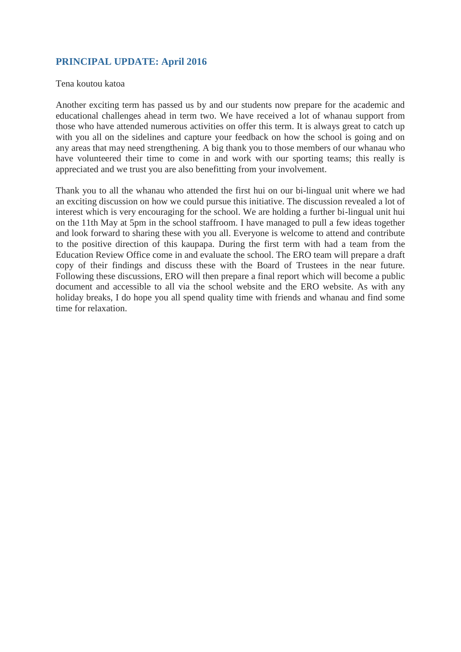# **PRINCIPAL UPDATE: April 2016**

### Tena koutou katoa

Another exciting term has passed us by and our students now prepare for the academic and educational challenges ahead in term two. We have received a lot of whanau support from those who have attended numerous activities on offer this term. It is always great to catch up with you all on the sidelines and capture your feedback on how the school is going and on any areas that may need strengthening. A big thank you to those members of our whanau who have volunteered their time to come in and work with our sporting teams; this really is appreciated and we trust you are also benefitting from your involvement.

Thank you to all the whanau who attended the first hui on our bi-lingual unit where we had an exciting discussion on how we could pursue this initiative. The discussion revealed a lot of interest which is very encouraging for the school. We are holding a further bi-lingual unit hui on the 11th May at 5pm in the school staffroom. I have managed to pull a few ideas together and look forward to sharing these with you all. Everyone is welcome to attend and contribute to the positive direction of this kaupapa. During the first term with had a team from the Education Review Office come in and evaluate the school. The ERO team will prepare a draft copy of their findings and discuss these with the Board of Trustees in the near future. Following these discussions, ERO will then prepare a final report which will become a public document and accessible to all via the school website and the ERO website. As with any holiday breaks, I do hope you all spend quality time with friends and whanau and find some time for relaxation.